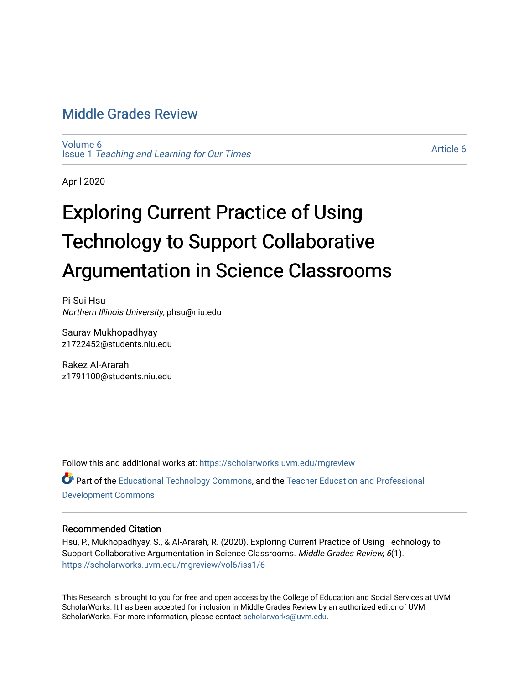# [Middle Grades Review](https://scholarworks.uvm.edu/mgreview)

[Volume 6](https://scholarworks.uvm.edu/mgreview/vol6) Issue 1 [Teaching and Learning for Our Times](https://scholarworks.uvm.edu/mgreview/vol6/iss1)

[Article 6](https://scholarworks.uvm.edu/mgreview/vol6/iss1/6) 

April 2020

# Exploring Current Practice of Using Technology to Support Collaborative Argumentation in Science Classrooms

Pi-Sui Hsu Northern Illinois University, phsu@niu.edu

Saurav Mukhopadhyay z1722452@students.niu.edu

Rakez Al-Ararah z1791100@students.niu.edu

Follow this and additional works at: [https://scholarworks.uvm.edu/mgreview](https://scholarworks.uvm.edu/mgreview?utm_source=scholarworks.uvm.edu%2Fmgreview%2Fvol6%2Fiss1%2F6&utm_medium=PDF&utm_campaign=PDFCoverPages)  Part of the [Educational Technology Commons,](http://network.bepress.com/hgg/discipline/1415?utm_source=scholarworks.uvm.edu%2Fmgreview%2Fvol6%2Fiss1%2F6&utm_medium=PDF&utm_campaign=PDFCoverPages) and the [Teacher Education and Professional](http://network.bepress.com/hgg/discipline/803?utm_source=scholarworks.uvm.edu%2Fmgreview%2Fvol6%2Fiss1%2F6&utm_medium=PDF&utm_campaign=PDFCoverPages) 

[Development Commons](http://network.bepress.com/hgg/discipline/803?utm_source=scholarworks.uvm.edu%2Fmgreview%2Fvol6%2Fiss1%2F6&utm_medium=PDF&utm_campaign=PDFCoverPages) 

## Recommended Citation

Hsu, P., Mukhopadhyay, S., & Al-Ararah, R. (2020). Exploring Current Practice of Using Technology to Support Collaborative Argumentation in Science Classrooms. Middle Grades Review, 6(1). [https://scholarworks.uvm.edu/mgreview/vol6/iss1/6](https://scholarworks.uvm.edu/mgreview/vol6/iss1/6?utm_source=scholarworks.uvm.edu%2Fmgreview%2Fvol6%2Fiss1%2F6&utm_medium=PDF&utm_campaign=PDFCoverPages) 

This Research is brought to you for free and open access by the College of Education and Social Services at UVM ScholarWorks. It has been accepted for inclusion in Middle Grades Review by an authorized editor of UVM ScholarWorks. For more information, please contact [scholarworks@uvm.edu](mailto:scholarworks@uvm.edu).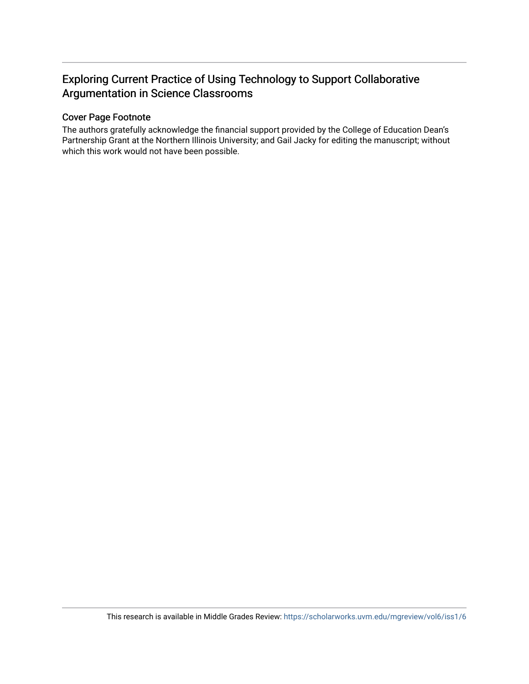# Exploring Current Practice of Using Technology to Support Collaborative Argumentation in Science Classrooms

# Cover Page Footnote

The authors gratefully acknowledge the financial support provided by the College of Education Dean's Partnership Grant at the Northern Illinois University; and Gail Jacky for editing the manuscript; without which this work would not have been possible.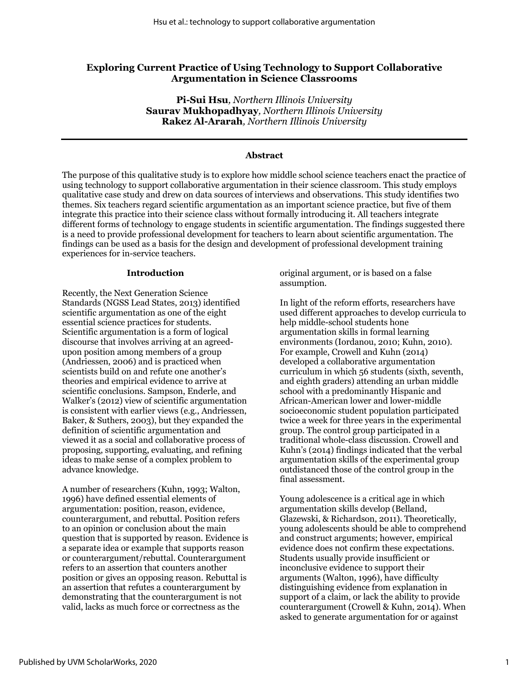# **Exploring Current Practice of Using Technology to Support Collaborative Argumentation in Science Classrooms**

**Pi-Sui Hsu***, Northern Illinois University* **Saurav Mukhopadhyay***, Northern Illinois University* **Rakez Al-Ararah***, Northern Illinois University*

#### **Abstract**

The purpose of this qualitative study is to explore how middle school science teachers enact the practice of using technology to support collaborative argumentation in their science classroom. This study employs qualitative case study and drew on data sources of interviews and observations. This study identifies two themes. Six teachers regard scientific argumentation as an important science practice, but five of them integrate this practice into their science class without formally introducing it. All teachers integrate different forms of technology to engage students in scientific argumentation. The findings suggested there is a need to provide professional development for teachers to learn about scientific argumentation. The findings can be used as a basis for the design and development of professional development training experiences for in-service teachers.

#### **Introduction**

Recently, the Next Generation Science Standards (NGSS Lead States, 2013) identified scientific argumentation as one of the eight essential science practices for students. Scientific argumentation is a form of logical discourse that involves arriving at an agreedupon position among members of a group (Andriessen, 2006) and is practiced when scientists build on and refute one another's theories and empirical evidence to arrive at scientific conclusions. Sampson, Enderle, and Walker's (2012) view of scientific argumentation is consistent with earlier views (e.g., Andriessen, Baker, & Suthers, 2003), but they expanded the definition of scientific argumentation and viewed it as a social and collaborative process of proposing, supporting, evaluating, and refining ideas to make sense of a complex problem to advance knowledge.

A number of researchers (Kuhn, 1993; Walton, 1996) have defined essential elements of argumentation: position, reason, evidence, counterargument, and rebuttal. Position refers to an opinion or conclusion about the main question that is supported by reason. Evidence is a separate idea or example that supports reason or counterargument/rebuttal. Counterargument refers to an assertion that counters another position or gives an opposing reason. Rebuttal is an assertion that refutes a counterargument by demonstrating that the counterargument is not valid, lacks as much force or correctness as the

original argument, or is based on a false assumption.

In light of the reform efforts, researchers have used different approaches to develop curricula to help middle-school students hone argumentation skills in formal learning environments (Iordanou, 2010; Kuhn, 2010). For example, Crowell and Kuhn (2014) developed a collaborative argumentation curriculum in which 56 students (sixth, seventh, and eighth graders) attending an urban middle school with a predominantly Hispanic and African-American lower and lower-middle socioeconomic student population participated twice a week for three years in the experimental group. The control group participated in a traditional whole-class discussion. Crowell and Kuhn's (2014) findings indicated that the verbal argumentation skills of the experimental group outdistanced those of the control group in the final assessment.

Young adolescence is a critical age in which argumentation skills develop (Belland, Glazewski, & Richardson, 2011). Theoretically, young adolescents should be able to comprehend and construct arguments; however, empirical evidence does not confirm these expectations. Students usually provide insufficient or inconclusive evidence to support their arguments (Walton, 1996), have difficulty distinguishing evidence from explanation in support of a claim, or lack the ability to provide counterargument (Crowell & Kuhn, 2014). When asked to generate argumentation for or against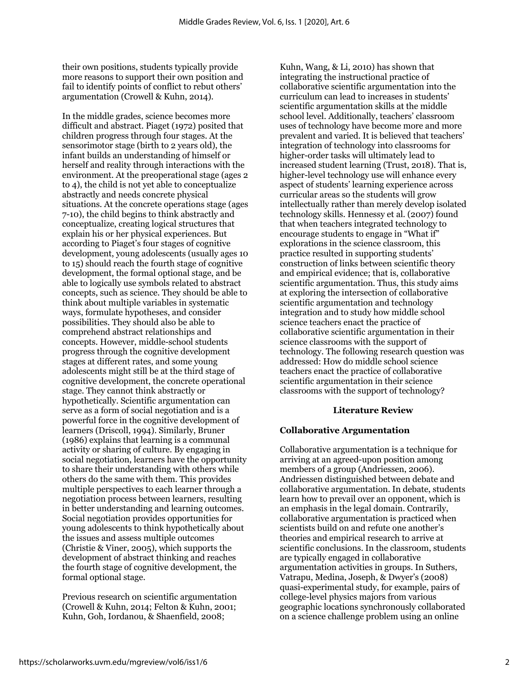their own positions, students typically provide more reasons to support their own position and fail to identify points of conflict to rebut others' argumentation (Crowell & Kuhn, 2014).

In the middle grades, science becomes more difficult and abstract. Piaget (1972) posited that children progress through four stages. At the sensorimotor stage (birth to 2 years old), the infant builds an understanding of himself or herself and reality through interactions with the environment. At the preoperational stage (ages 2 to 4), the child is not yet able to conceptualize abstractly and needs concrete physical situations. At the concrete operations stage (ages 7-10), the child begins to think abstractly and conceptualize, creating logical structures that explain his or her physical experiences. But according to Piaget's four stages of cognitive development, young adolescents (usually ages 10 to 15) should reach the fourth stage of cognitive development, the formal optional stage, and be able to logically use symbols related to abstract concepts, such as science. They should be able to think about multiple variables in systematic ways, formulate hypotheses, and consider possibilities. They should also be able to comprehend abstract relationships and concepts. However, middle-school students progress through the cognitive development stages at different rates, and some young adolescents might still be at the third stage of cognitive development, the concrete operational stage. They cannot think abstractly or hypothetically. Scientific argumentation can serve as a form of social negotiation and is a powerful force in the cognitive development of learners (Driscoll, 1994). Similarly, Bruner (1986) explains that learning is a communal activity or sharing of culture. By engaging in social negotiation, learners have the opportunity to share their understanding with others while others do the same with them. This provides multiple perspectives to each learner through a negotiation process between learners, resulting in better understanding and learning outcomes. Social negotiation provides opportunities for young adolescents to think hypothetically about the issues and assess multiple outcomes (Christie & Viner, 2005), which supports the development of abstract thinking and reaches the fourth stage of cognitive development, the formal optional stage.

Previous research on scientific argumentation (Crowell & Kuhn, 2014; Felton & Kuhn, 2001; Kuhn, Goh, Iordanou, & Shaenfield, 2008;

Kuhn, Wang, & Li, 2010) has shown that integrating the instructional practice of collaborative scientific argumentation into the curriculum can lead to increases in students' scientific argumentation skills at the middle school level. Additionally, teachers' classroom uses of technology have become more and more prevalent and varied. It is believed that teachers' integration of technology into classrooms for higher-order tasks will ultimately lead to increased student learning (Trust, 2018). That is, higher-level technology use will enhance every aspect of students' learning experience across curricular areas so the students will grow intellectually rather than merely develop isolated technology skills. Hennessy et al. (2007) found that when teachers integrated technology to encourage students to engage in "What if" explorations in the science classroom, this practice resulted in supporting students' construction of links between scientific theory and empirical evidence; that is, collaborative scientific argumentation. Thus, this study aims at exploring the intersection of collaborative scientific argumentation and technology integration and to study how middle school science teachers enact the practice of collaborative scientific argumentation in their science classrooms with the support of technology. The following research question was addressed: How do middle school science teachers enact the practice of collaborative scientific argumentation in their science classrooms with the support of technology?

#### **Literature Review**

#### **Collaborative Argumentation**

Collaborative argumentation is a technique for arriving at an agreed-upon position among members of a group (Andriessen, 2006). Andriessen distinguished between debate and collaborative argumentation. In debate, students learn how to prevail over an opponent, which is an emphasis in the legal domain. Contrarily, collaborative argumentation is practiced when scientists build on and refute one another's theories and empirical research to arrive at scientific conclusions. In the classroom, students are typically engaged in collaborative argumentation activities in groups. In Suthers, Vatrapu, Medina, Joseph, & Dwyer's (2008) quasi-experimental study, for example, pairs of college-level physics majors from various geographic locations synchronously collaborated on a science challenge problem using an online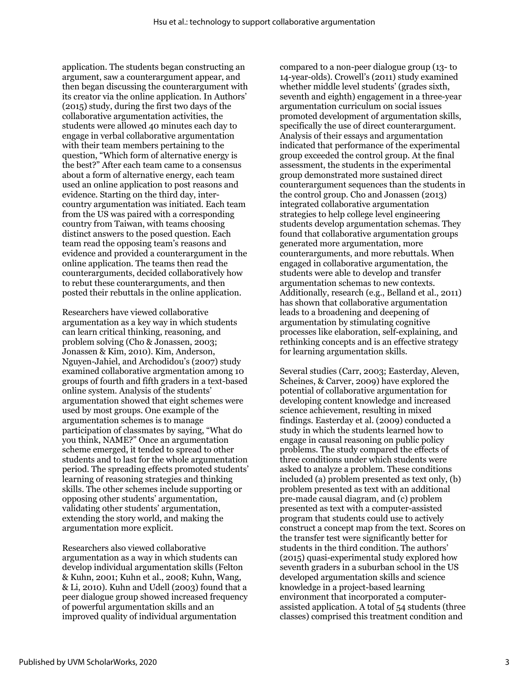application. The students began constructing an argument, saw a counterargument appear, and then began discussing the counterargument with its creator via the online application. In Authors' (2015) study, during the first two days of the collaborative argumentation activities, the students were allowed 40 minutes each day to engage in verbal collaborative argumentation with their team members pertaining to the question, "Which form of alternative energy is the best?" After each team came to a consensus about a form of alternative energy, each team used an online application to post reasons and evidence. Starting on the third day, intercountry argumentation was initiated. Each team from the US was paired with a corresponding country from Taiwan, with teams choosing distinct answers to the posed question. Each team read the opposing team's reasons and evidence and provided a counterargument in the online application. The teams then read the counterarguments, decided collaboratively how to rebut these counterarguments, and then posted their rebuttals in the online application.

Researchers have viewed collaborative argumentation as a key way in which students can learn critical thinking, reasoning, and problem solving (Cho & Jonassen, 2003; Jonassen & Kim, 2010). Kim, Anderson, Nguyen-Jahiel, and Archodidou's (2007) study examined collaborative argmentation among 10 groups of fourth and fifth graders in a text-based online system. Analysis of the students' argumentation showed that eight schemes were used by most groups. One example of the argumentation schemes is to manage participation of classmates by saying, "What do you think, NAME?" Once an argumentation scheme emerged, it tended to spread to other students and to last for the whole argumentation period. The spreading effects promoted students' learning of reasoning strategies and thinking skills. The other schemes include supporting or opposing other students' argumentation, validating other students' argumentation, extending the story world, and making the argumentation more explicit.

Researchers also viewed collaborative argumentation as a way in which students can develop individual argumentation skills (Felton & Kuhn, 2001; Kuhn et al., 2008; Kuhn, Wang, & Li, 2010). Kuhn and Udell (2003) found that a peer dialogue group showed increased frequency of powerful argumentation skills and an improved quality of individual argumentation

compared to a non-peer dialogue group (13- to 14-year-olds). Crowell's (2011) study examined whether middle level students' (grades sixth, seventh and eighth) engagement in a three-year argumentation curriculum on social issues promoted development of argumentation skills, specifically the use of direct counterargument. Analysis of their essays and argumentation indicated that performance of the experimental group exceeded the control group. At the final assessment, the students in the experimental group demonstrated more sustained direct counterargument sequences than the students in the control group. Cho and Jonassen (2013) integrated collaborative argumentation strategies to help college level engineering students develop argumentation schemas. They found that collaborative argumentation groups generated more argumentation, more counterarguments, and more rebuttals. When engaged in collaborative argumentation, the students were able to develop and transfer argumentation schemas to new contexts. Additionally, research (e.g., Belland et al., 2011) has shown that collaborative argumentation leads to a broadening and deepening of argumentation by stimulating cognitive processes like elaboration, self-explaining, and rethinking concepts and is an effective strategy for learning argumentation skills.

Several studies (Carr, 2003; Easterday, Aleven, Scheines, & Carver, 2009) have explored the potential of collaborative argumentation for developing content knowledge and increased science achievement, resulting in mixed findings. Easterday et al. (2009) conducted a study in which the students learned how to engage in causal reasoning on public policy problems. The study compared the effects of three conditions under which students were asked to analyze a problem. These conditions included (a) problem presented as text only, (b) problem presented as text with an additional pre-made causal diagram, and (c) problem presented as text with a computer-assisted program that students could use to actively construct a concept map from the text. Scores on the transfer test were significantly better for students in the third condition. The authors' (2015) quasi-experimental study explored how seventh graders in a suburban school in the US developed argumentation skills and science knowledge in a project-based learning environment that incorporated a computerassisted application. A total of 54 students (three classes) comprised this treatment condition and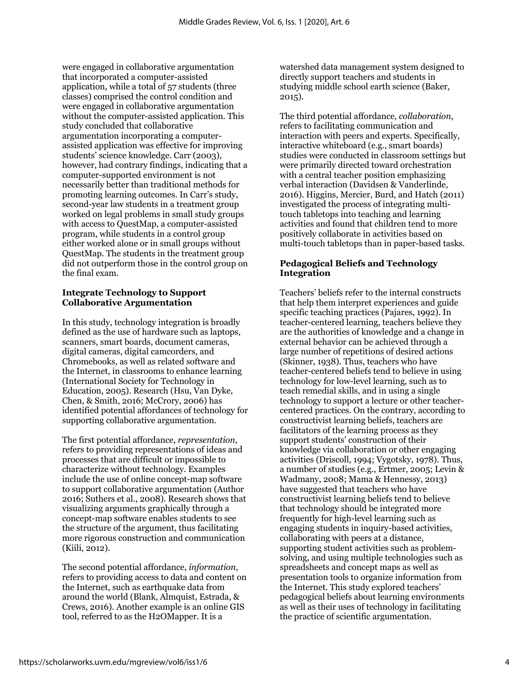were engaged in collaborative argumentation that incorporated a computer-assisted application, while a total of 57 students (three classes) comprised the control condition and were engaged in collaborative argumentation without the computer-assisted application. This study concluded that collaborative argumentation incorporating a computerassisted application was effective for improving students' science knowledge. Carr (2003), however, had contrary findings, indicating that a computer-supported environment is not necessarily better than traditional methods for promoting learning outcomes. In Carr's study, second-year law students in a treatment group worked on legal problems in small study groups with access to QuestMap, a computer-assisted program, while students in a control group either worked alone or in small groups without QuestMap. The students in the treatment group did not outperform those in the control group on the final exam.

#### **Integrate Technology to Support Collaborative Argumentation**

In this study, technology integration is broadly defined as the use of hardware such as laptops, scanners, smart boards, document cameras, digital cameras, digital camcorders, and Chromebooks, as well as related software and the Internet, in classrooms to enhance learning (International Society for Technology in Education, 2005). Research (Hsu, Van Dyke, Chen, & Smith, 2016; McCrory, 2006) has identified potential affordances of technology for supporting collaborative argumentation.

The first potential affordance, *representation*, refers to providing representations of ideas and processes that are difficult or impossible to characterize without technology. Examples include the use of online concept-map software to support collaborative argumentation (Author 2016; Suthers et al., 2008). Research shows that visualizing arguments graphically through a concept-map software enables students to see the structure of the argument, thus facilitating more rigorous construction and communication (Kiili, 2012).

The second potential affordance, *information*, refers to providing access to data and content on the Internet, such as earthquake data from around the world (Blank, Almquist, Estrada, & Crews, 2016). Another example is an online GIS tool, referred to as the H2OMapper. It is a

watershed data management system designed to directly support teachers and students in studying middle school earth science (Baker, 2015).

The third potential affordance*, collaboration*, refers to facilitating communication and interaction with peers and experts. Specifically, interactive whiteboard (e.g., smart boards) studies were conducted in classroom settings but were primarily directed toward orchestration with a central teacher position emphasizing verbal interaction (Davidsen & Vanderlinde, 2016). Higgins, Mercier, Burd, and Hatch (2011) investigated the process of integrating multitouch tabletops into teaching and learning activities and found that children tend to more positively collaborate in activities based on multi-touch tabletops than in paper-based tasks.

# **Pedagogical Beliefs and Technology Integration**

Teachers' beliefs refer to the internal constructs that help them interpret experiences and guide specific teaching practices (Pajares, 1992). In teacher-centered learning, teachers believe they are the authorities of knowledge and a change in external behavior can be achieved through a large number of repetitions of desired actions (Skinner, 1938). Thus, teachers who have teacher-centered beliefs tend to believe in using technology for low-level learning, such as to teach remedial skills, and in using a single technology to support a lecture or other teachercentered practices. On the contrary, according to constructivist learning beliefs, teachers are facilitators of the learning process as they support students' construction of their knowledge via collaboration or other engaging activities (Driscoll, 1994; Vygotsky, 1978). Thus, a number of studies (e.g., Ertmer, 2005; Levin & Wadmany, 2008; Mama & Hennessy, 2013) have suggested that teachers who have constructivist learning beliefs tend to believe that technology should be integrated more frequently for high-level learning such as engaging students in inquiry-based activities, collaborating with peers at a distance, supporting student activities such as problemsolving, and using multiple technologies such as spreadsheets and concept maps as well as presentation tools to organize information from the Internet. This study explored teachers' pedagogical beliefs about learning environments as well as their uses of technology in facilitating the practice of scientific argumentation.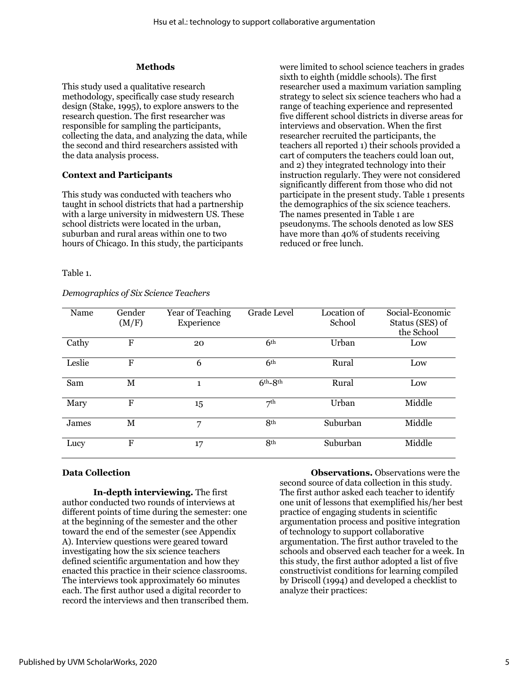#### **Methods**

This study used a qualitative research methodology, specifically case study research design (Stake, 1995), to explore answers to the research question. The first researcher was responsible for sampling the participants, collecting the data, and analyzing the data, while the second and third researchers assisted with the data analysis process.

#### **Context and Participants**

This study was conducted with teachers who taught in school districts that had a partnership with a large university in midwestern US. These school districts were located in the urban, suburban and rural areas within one to two hours of Chicago. In this study, the participants

were limited to school science teachers in grades sixth to eighth (middle schools). The first researcher used a maximum variation sampling strategy to select six science teachers who had a range of teaching experience and represented five different school districts in diverse areas for interviews and observation. When the first researcher recruited the participants, the teachers all reported 1) their schools provided a cart of computers the teachers could loan out, and 2) they integrated technology into their instruction regularly. They were not considered significantly different from those who did not participate in the present study. Table 1 presents the demographics of the six science teachers. The names presented in Table 1 are pseudonyms. The schools denoted as low SES have more than 40% of students receiving reduced or free lunch.

Table 1.

#### *Demographics of Six Science Teachers*

| Name   | Gender<br>(M/F) | Year of Teaching<br>Experience | Grade Level     | Location of<br>School | Social-Economic<br>Status (SES) of<br>the School |
|--------|-----------------|--------------------------------|-----------------|-----------------------|--------------------------------------------------|
| Cathy  | F               | 20                             | 6 <sup>th</sup> | Urban                 | Low                                              |
| Leslie | F               | 6                              | 6 <sup>th</sup> | Rural                 | Low                                              |
| Sam    | M               | $\mathbf{1}$                   | $6th-8th$       | Rural                 | Low                                              |
| Mary   | F               | 15                             | $\neg$ th       | Urban                 | Middle                                           |
| James  | M               | 7                              | 8 <sup>th</sup> | Suburban              | Middle                                           |
| Lucy   | F               | 17                             | 8 <sup>th</sup> | Suburban              | Middle                                           |

#### **Data Collection**

**In-depth interviewing.** The first author conducted two rounds of interviews at different points of time during the semester: one at the beginning of the semester and the other toward the end of the semester (see Appendix A). Interview questions were geared toward investigating how the six science teachers defined scientific argumentation and how they enacted this practice in their science classrooms. The interviews took approximately 60 minutes each. The first author used a digital recorder to record the interviews and then transcribed them.

**Observations.** Observations were the second source of data collection in this study. The first author asked each teacher to identify one unit of lessons that exemplified his/her best practice of engaging students in scientific argumentation process and positive integration of technology to support collaborative argumentation. The first author traveled to the schools and observed each teacher for a week. In this study, the first author adopted a list of five constructivist conditions for learning compiled by Driscoll (1994) and developed a checklist to analyze their practices: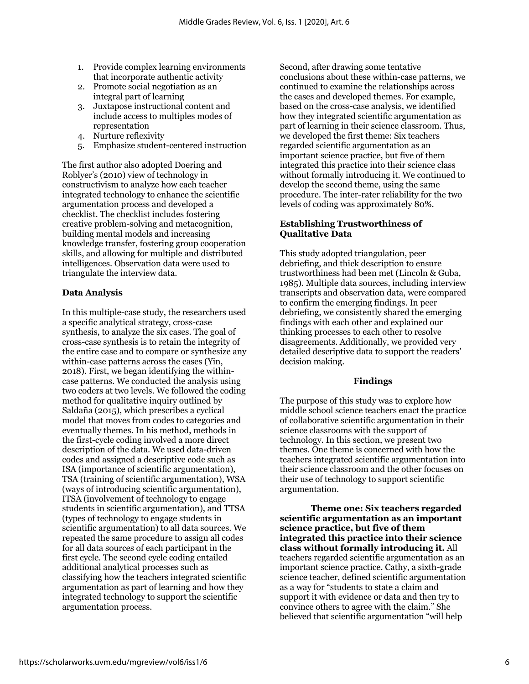- 1. Provide complex learning environments that incorporate authentic activity
- 2. Promote social negotiation as an integral part of learning
- 3. Juxtapose instructional content and include access to multiples modes of representation
- 4. Nurture reflexivity
- 5. Emphasize student-centered instruction

The first author also adopted Doering and Roblyer's (2010) view of technology in constructivism to analyze how each teacher integrated technology to enhance the scientific argumentation process and developed a checklist. The checklist includes fostering creative problem-solving and metacognition, building mental models and increasing knowledge transfer, fostering group cooperation skills, and allowing for multiple and distributed intelligences. Observation data were used to triangulate the interview data.

#### **Data Analysis**

In this multiple-case study, the researchers used a specific analytical strategy, cross-case synthesis, to analyze the six cases. The goal of cross-case synthesis is to retain the integrity of the entire case and to compare or synthesize any within-case patterns across the cases (Yin, 2018). First, we began identifying the withincase patterns. We conducted the analysis using two coders at two levels. We followed the coding method for qualitative inquiry outlined by Saldaña (2015), which prescribes a cyclical model that moves from codes to categories and eventually themes. In his method, methods in the first-cycle coding involved a more direct description of the data. We used data-driven codes and assigned a descriptive code such as ISA (importance of scientific argumentation), TSA (training of scientific argumentation), WSA (ways of introducing scientific argumentation), ITSA (involvement of technology to engage students in scientific argumentation), and TTSA (types of technology to engage students in scientific argumentation) to all data sources. We repeated the same procedure to assign all codes for all data sources of each participant in the first cycle. The second cycle coding entailed additional analytical processes such as classifying how the teachers integrated scientific argumentation as part of learning and how they integrated technology to support the scientific argumentation process.

Second, after drawing some tentative conclusions about these within-case patterns, we continued to examine the relationships across the cases and developed themes. For example, based on the cross-case analysis, we identified how they integrated scientific argumentation as part of learning in their science classroom. Thus, we developed the first theme: Six teachers regarded scientific argumentation as an important science practice, but five of them integrated this practice into their science class without formally introducing it. We continued to develop the second theme, using the same procedure. The inter-rater reliability for the two levels of coding was approximately 80%.

## **Establishing Trustworthiness of Qualitative Data**

This study adopted triangulation, peer debriefing, and thick description to ensure trustworthiness had been met (Lincoln & Guba, 1985). Multiple data sources, including interview transcripts and observation data, were compared to confirm the emerging findings. In peer debriefing, we consistently shared the emerging findings with each other and explained our thinking processes to each other to resolve disagreements. Additionally, we provided very detailed descriptive data to support the readers' decision making.

#### **Findings**

The purpose of this study was to explore how middle school science teachers enact the practice of collaborative scientific argumentation in their science classrooms with the support of technology. In this section, we present two themes. One theme is concerned with how the teachers integrated scientific argumentation into their science classroom and the other focuses on their use of technology to support scientific argumentation.

**Theme one: Six teachers regarded scientific argumentation as an important science practice, but five of them integrated this practice into their science class without formally introducing it.** All teachers regarded scientific argumentation as an important science practice. Cathy, a sixth-grade science teacher, defined scientific argumentation as a way for "students to state a claim and support it with evidence or data and then try to convince others to agree with the claim." She believed that scientific argumentation "will help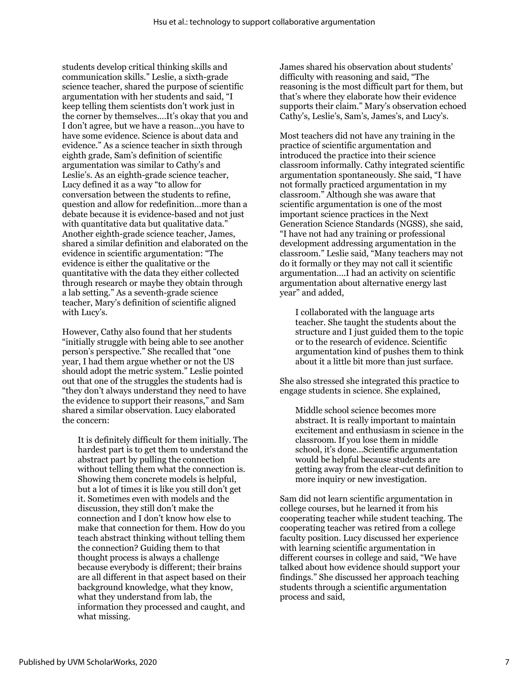students develop critical thinking skills and communication skills." Leslie, a sixth-grade science teacher, shared the purpose of scientific argumentation with her students and said, "I keep telling them scientists don't work just in the corner by themselves.…It's okay that you and I don't agree, but we have a reason…you have to have some evidence. Science is about data and evidence." As a science teacher in sixth through eighth grade, Sam's definition of scientific argumentation was similar to Cathy's and Leslie's. As an eighth-grade science teacher, Lucy defined it as a way "to allow for conversation between the students to refine, question and allow for redefinition…more than a debate because it is evidence-based and not just with quantitative data but qualitative data." Another eighth-grade science teacher, James, shared a similar definition and elaborated on the evidence in scientific argumentation: "The evidence is either the qualitative or the quantitative with the data they either collected through research or maybe they obtain through a lab setting." As a seventh-grade science teacher, Mary's definition of scientific aligned with Lucy's.

However, Cathy also found that her students "initially struggle with being able to see another person's perspective." She recalled that "one year, I had them argue whether or not the US should adopt the metric system." Leslie pointed out that one of the struggles the students had is "they don't always understand they need to have the evidence to support their reasons," and Sam shared a similar observation. Lucy elaborated the concern:

It is definitely difficult for them initially. The hardest part is to get them to understand the abstract part by pulling the connection without telling them what the connection is. Showing them concrete models is helpful, but a lot of times it is like you still don't get it. Sometimes even with models and the discussion, they still don't make the connection and I don't know how else to make that connection for them. How do you teach abstract thinking without telling them the connection? Guiding them to that thought process is always a challenge because everybody is different; their brains are all different in that aspect based on their background knowledge, what they know, what they understand from lab, the information they processed and caught, and what missing.

James shared his observation about students' difficulty with reasoning and said, "The reasoning is the most difficult part for them, but that's where they elaborate how their evidence supports their claim." Mary's observation echoed Cathy's, Leslie's, Sam's, James's, and Lucy's.

Most teachers did not have any training in the practice of scientific argumentation and introduced the practice into their science classroom informally. Cathy integrated scientific argumentation spontaneously. She said, "I have not formally practiced argumentation in my classroom." Although she was aware that scientific argumentation is one of the most important science practices in the Next Generation Science Standards (NGSS), she said, "I have not had any training or professional development addressing argumentation in the classroom." Leslie said, "Many teachers may not do it formally or they may not call it scientific argumentation….I had an activity on scientific argumentation about alternative energy last year" and added,

I collaborated with the language arts teacher. She taught the students about the structure and I just guided them to the topic or to the research of evidence. Scientific argumentation kind of pushes them to think about it a little bit more than just surface.

She also stressed she integrated this practice to engage students in science. She explained,

Middle school science becomes more abstract. It is really important to maintain excitement and enthusiasm in science in the classroom. If you lose them in middle school, it's done…Scientific argumentation would be helpful because students are getting away from the clear-cut definition to more inquiry or new investigation.

Sam did not learn scientific argumentation in college courses, but he learned it from his cooperating teacher while student teaching. The cooperating teacher was retired from a college faculty position. Lucy discussed her experience with learning scientific argumentation in different courses in college and said, "We have talked about how evidence should support your findings." She discussed her approach teaching students through a scientific argumentation process and said,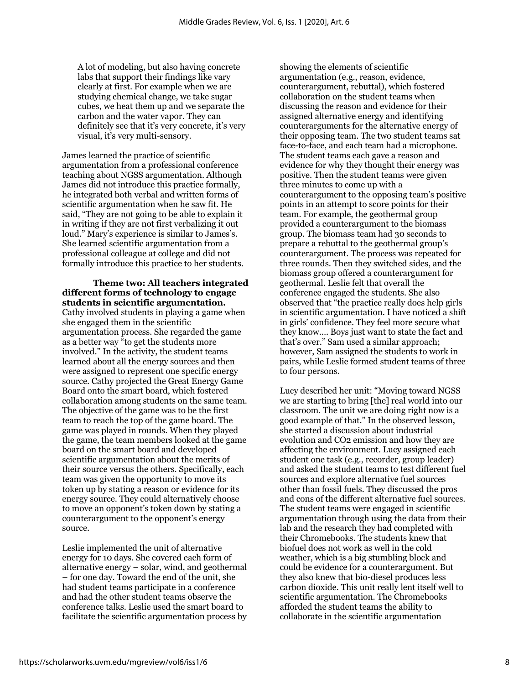A lot of modeling, but also having concrete labs that support their findings like vary clearly at first. For example when we are studying chemical change, we take sugar cubes, we heat them up and we separate the carbon and the water vapor. They can definitely see that it's very concrete, it's very visual, it's very multi-sensory.

James learned the practice of scientific argumentation from a professional conference teaching about NGSS argumentation. Although James did not introduce this practice formally, he integrated both verbal and written forms of scientific argumentation when he saw fit. He said, "They are not going to be able to explain it in writing if they are not first verbalizing it out loud." Mary's experience is similar to James's. She learned scientific argumentation from a professional colleague at college and did not formally introduce this practice to her students.

#### **Theme two: All teachers integrated different forms of technology to engage students in scientific argumentation.**

Cathy involved students in playing a game when she engaged them in the scientific argumentation process. She regarded the game as a better way "to get the students more involved." In the activity, the student teams learned about all the energy sources and then were assigned to represent one specific energy source. Cathy projected the Great Energy Game Board onto the smart board, which fostered collaboration among students on the same team. The objective of the game was to be the first team to reach the top of the game board. The game was played in rounds. When they played the game, the team members looked at the game board on the smart board and developed scientific argumentation about the merits of their source versus the others. Specifically, each team was given the opportunity to move its token up by stating a reason or evidence for its energy source. They could alternatively choose to move an opponent's token down by stating a counterargument to the opponent's energy source.

Leslie implemented the unit of alternative energy for 10 days. She covered each form of alternative energy – solar, wind, and geothermal – for one day. Toward the end of the unit, she had student teams participate in a conference and had the other student teams observe the conference talks. Leslie used the smart board to facilitate the scientific argumentation process by

showing the elements of scientific argumentation (e.g., reason, evidence, counterargument, rebuttal), which fostered collaboration on the student teams when discussing the reason and evidence for their assigned alternative energy and identifying counterarguments for the alternative energy of their opposing team. The two student teams sat face-to-face, and each team had a microphone. The student teams each gave a reason and evidence for why they thought their energy was positive. Then the student teams were given three minutes to come up with a counterargument to the opposing team's positive points in an attempt to score points for their team. For example, the geothermal group provided a counterargument to the biomass group. The biomass team had 30 seconds to prepare a rebuttal to the geothermal group's counterargument. The process was repeated for three rounds. Then they switched sides, and the biomass group offered a counterargument for geothermal. Leslie felt that overall the conference engaged the students. She also observed that "the practice really does help girls in scientific argumentation. I have noticed a shift in girls' confidence. They feel more secure what they know…. Boys just want to state the fact and that's over." Sam used a similar approach; however, Sam assigned the students to work in pairs, while Leslie formed student teams of three to four persons.

Lucy described her unit: "Moving toward NGSS we are starting to bring [the] real world into our classroom. The unit we are doing right now is a good example of that." In the observed lesson, she started a discussion about industrial evolution and CO2 emission and how they are affecting the environment. Lucy assigned each student one task (e.g., recorder, group leader) and asked the student teams to test different fuel sources and explore alternative fuel sources other than fossil fuels. They discussed the pros and cons of the different alternative fuel sources. The student teams were engaged in scientific argumentation through using the data from their lab and the research they had completed with their Chromebooks. The students knew that biofuel does not work as well in the cold weather, which is a big stumbling block and could be evidence for a counterargument. But they also knew that bio-diesel produces less carbon dioxide. This unit really lent itself well to scientific argumentation. The Chromebooks afforded the student teams the ability to collaborate in the scientific argumentation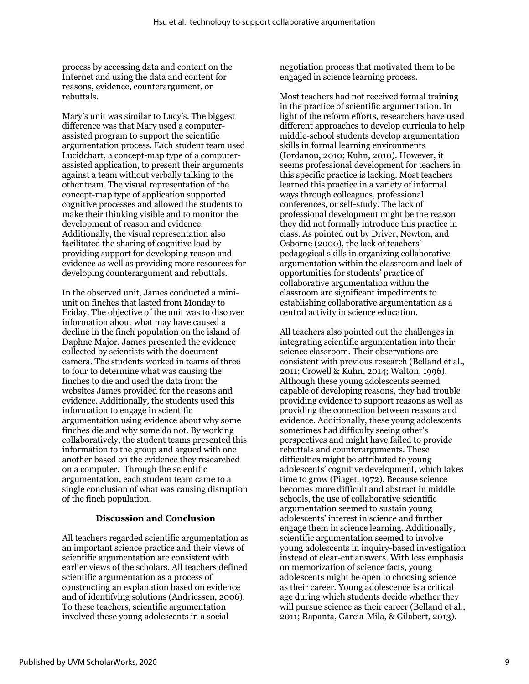process by accessing data and content on the Internet and using the data and content for reasons, evidence, counterargument, or rebuttals.

Mary's unit was similar to Lucy's. The biggest difference was that Mary used a computerassisted program to support the scientific argumentation process. Each student team used Lucidchart, a concept-map type of a computerassisted application, to present their arguments against a team without verbally talking to the other team. The visual representation of the concept-map type of application supported cognitive processes and allowed the students to make their thinking visible and to monitor the development of reason and evidence. Additionally, the visual representation also facilitated the sharing of cognitive load by providing support for developing reason and evidence as well as providing more resources for developing counterargument and rebuttals.

In the observed unit, James conducted a miniunit on finches that lasted from Monday to Friday. The objective of the unit was to discover information about what may have caused a decline in the finch population on the island of Daphne Major. James presented the evidence collected by scientists with the document camera. The students worked in teams of three to four to determine what was causing the finches to die and used the data from the websites James provided for the reasons and evidence. Additionally, the students used this information to engage in scientific argumentation using evidence about why some finches die and why some do not. By working collaboratively, the student teams presented this information to the group and argued with one another based on the evidence they researched on a computer. Through the scientific argumentation, each student team came to a single conclusion of what was causing disruption of the finch population.

## **Discussion and Conclusion**

All teachers regarded scientific argumentation as an important science practice and their views of scientific argumentation are consistent with earlier views of the scholars. All teachers defined scientific argumentation as a process of constructing an explanation based on evidence and of identifying solutions (Andriessen, 2006). To these teachers, scientific argumentation involved these young adolescents in a social

negotiation process that motivated them to be engaged in science learning process.

Most teachers had not received formal training in the practice of scientific argumentation. In light of the reform efforts, researchers have used different approaches to develop curricula to help middle-school students develop argumentation skills in formal learning environments (Iordanou, 2010; Kuhn, 2010). However, it seems professional development for teachers in this specific practice is lacking. Most teachers learned this practice in a variety of informal ways through colleagues, professional conferences, or self-study. The lack of professional development might be the reason they did not formally introduce this practice in class. As pointed out by Driver, Newton, and Osborne (2000), the lack of teachers' pedagogical skills in organizing collaborative argumentation within the classroom and lack of opportunities for students' practice of collaborative argumentation within the classroom are significant impediments to establishing collaborative argumentation as a central activity in science education.

All teachers also pointed out the challenges in integrating scientific argumentation into their science classroom. Their observations are consistent with previous research (Belland et al., 2011; Crowell & Kuhn, 2014; Walton, 1996). Although these young adolescents seemed capable of developing reasons, they had trouble providing evidence to support reasons as well as providing the connection between reasons and evidence. Additionally, these young adolescents sometimes had difficulty seeing other's perspectives and might have failed to provide rebuttals and counterarguments. These difficulties might be attributed to young adolescents' cognitive development, which takes time to grow (Piaget, 1972). Because science becomes more difficult and abstract in middle schools, the use of collaborative scientific argumentation seemed to sustain young adolescents' interest in science and further engage them in science learning. Additionally, scientific argumentation seemed to involve young adolescents in inquiry-based investigation instead of clear-cut answers. With less emphasis on memorization of science facts, young adolescents might be open to choosing science as their career. Young adolescence is a critical age during which students decide whether they will pursue science as their career (Belland et al., 2011; Rapanta, Garcia-Mila, & Gilabert, 2013).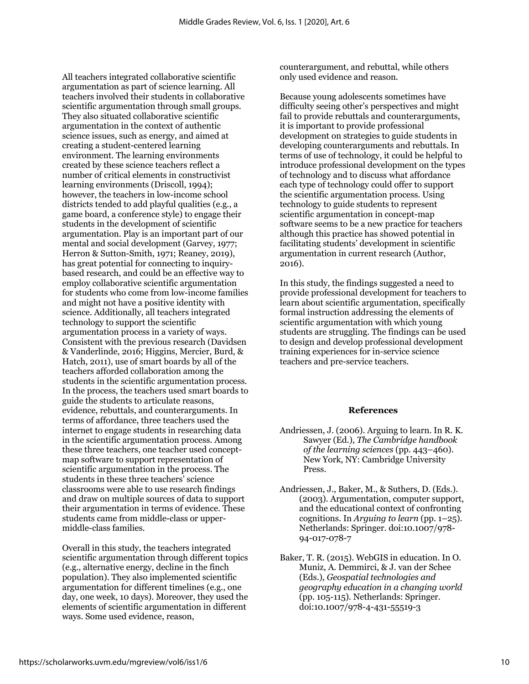All teachers integrated collaborative scientific argumentation as part of science learning. All teachers involved their students in collaborative scientific argumentation through small groups. They also situated collaborative scientific argumentation in the context of authentic science issues, such as energy, and aimed at creating a student-centered learning environment. The learning environments created by these science teachers reflect a number of critical elements in constructivist learning environments (Driscoll, 1994); however, the teachers in low-income school districts tended to add playful qualities (e.g., a game board, a conference style) to engage their students in the development of scientific argumentation. Play is an important part of our mental and social development (Garvey, 1977; Herron & Sutton-Smith, 1971; Reaney, 2019), has great potential for connecting to inquirybased research, and could be an effective way to employ collaborative scientific argumentation for students who come from low-income families and might not have a positive identity with science. Additionally, all teachers integrated technology to support the scientific argumentation process in a variety of ways. Consistent with the previous research (Davidsen & Vanderlinde, 2016; Higgins, Mercier, Burd, & Hatch, 2011), use of smart boards by all of the teachers afforded collaboration among the students in the scientific argumentation process. In the process, the teachers used smart boards to guide the students to articulate reasons, evidence, rebuttals, and counterarguments. In terms of affordance, three teachers used the internet to engage students in researching data in the scientific argumentation process. Among these three teachers, one teacher used conceptmap software to support representation of scientific argumentation in the process. The students in these three teachers' science classrooms were able to use research findings and draw on multiple sources of data to support their argumentation in terms of evidence. These students came from middle-class or uppermiddle-class families.

Overall in this study, the teachers integrated scientific argumentation through different topics (e.g., alternative energy, decline in the finch population). They also implemented scientific argumentation for different timelines (e.g., one day, one week, 10 days). Moreover, they used the elements of scientific argumentation in different ways. Some used evidence, reason,

counterargument, and rebuttal, while others only used evidence and reason.

Because young adolescents sometimes have difficulty seeing other's perspectives and might fail to provide rebuttals and counterarguments, it is important to provide professional development on strategies to guide students in developing counterarguments and rebuttals. In terms of use of technology, it could be helpful to introduce professional development on the types of technology and to discuss what affordance each type of technology could offer to support the scientific argumentation process. Using technology to guide students to represent scientific argumentation in concept-map software seems to be a new practice for teachers although this practice has showed potential in facilitating students' development in scientific argumentation in current research (Author, 2016).

In this study, the findings suggested a need to provide professional development for teachers to learn about scientific argumentation, specifically formal instruction addressing the elements of scientific argumentation with which young students are struggling. The findings can be used to design and develop professional development training experiences for in-service science teachers and pre-service teachers.

#### **References**

- Andriessen, J. (2006). Arguing to learn. In R. K. Sawyer (Ed.), *The Cambridge handbook of the learning sciences* (pp. 443–460). New York, NY: Cambridge University Press.
- Andriessen, J., Baker, M., & Suthers, D. (Eds.). (2003). Argumentation, computer support, and the educational context of confronting cognitions. In *Arguing to learn* (pp. 1–25). Netherlands: Springer. doi:10.1007/978- 94-017-078-7
- Baker, T. R. (2015). WebGIS in education. In O. Muniz, A. Demmirci, & J. van der Schee (Eds.), *Geospatial technologies and geography education in a changing world* (pp. 105-115). Netherlands: Springer. doi:10.1007/978-4-431-55519-3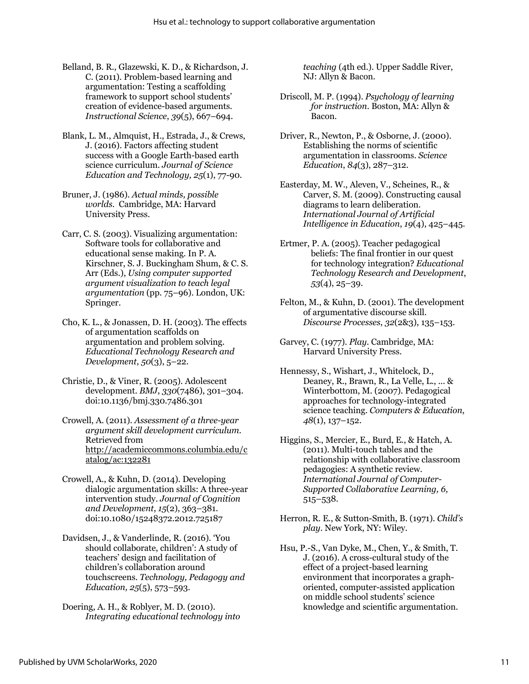- Belland, B. R., Glazewski, K. D., & Richardson, J. C. (2011). Problem-based learning and argumentation: Testing a scaffolding framework to support school students' creation of evidence-based arguments. *Instructional Science*, *39*(5), 667–694.
- Blank, L. M., Almquist, H., Estrada, J., & Crews, J. (2016). Factors affecting student success with a Google Earth-based earth science curriculum. *Journal of Science Education and Technology, 25*(1), 77-90.
- Bruner, J. (1986). *Actual minds, possible worlds*. Cambridge, MA: Harvard University Press.
- Carr, C. S. (2003). Visualizing argumentation: Software tools for collaborative and educational sense making. In P. A. Kirschner, S. J. Buckingham Shum, & C. S. Arr (Eds.), *Using computer supported argument visualization to teach legal argumentation* (pp. 75–96). London, UK: Springer.
- Cho, K. L., & Jonassen, D. H. (2003). The effects of argumentation scaffolds on argumentation and problem solving. *Educational Technology Research and Development*, *50*(3), 5–22.
- Christie, D., & Viner, R. (2005). Adolescent development. *BMJ*, *330*(7486), 301–304. doi:10.1136/bmj.330.7486.301
- Crowell, A. (2011). *Assessment of a three-year argument skill development curriculum.* Retrieved from http://academiccommons.columbia.edu/c atalog/ac:132281
- Crowell, A., & Kuhn, D. (2014). Developing dialogic argumentation skills: A three-year intervention study. *Journal of Cognition and Development*, *15*(2), 363–381. doi:10.1080/15248372.2012.725187
- Davidsen, J., & Vanderlinde, R. (2016). 'You should collaborate, children': A study of teachers' design and facilitation of children's collaboration around touchscreens. *Technology, Pedagogy and Education, 25*(5), 573–593.
- Doering, A. H., & Roblyer, M. D. (2010). *Integrating educational technology into*

*teaching* (4th ed.). Upper Saddle River, NJ: Allyn & Bacon.

- Driscoll, M. P. (1994). *Psychology of learning for instruction*. Boston, MA: Allyn & Bacon.
- Driver, R., Newton, P., & Osborne, J. (2000). Establishing the norms of scientific argumentation in classrooms. *Science Education*, *84*(3), 287–312.
- Easterday, M. W., Aleven, V., Scheines, R., & Carver, S. M. (2009). Constructing causal diagrams to learn deliberation. *International Journal of Artificial Intelligence in Education*, *19*(4), 425–445.
- Ertmer, P. A. (2005). Teacher pedagogical beliefs: The final frontier in our quest for technology integration? *Educational Technology Research and Development*, *53*(4), 25–39.
- Felton, M., & Kuhn, D. (2001). The development of argumentative discourse skill. *Discourse Processes*, *32*(2&3), 135–153.
- Garvey, C. (1977). *Play*. Cambridge, MA: Harvard University Press.
- Hennessy, S., Wishart, J., Whitelock, D., Deaney, R., Brawn, R., La Velle, L., ... & Winterbottom, M. (2007). Pedagogical approaches for technology-integrated science teaching. *Computers & Education*, *48*(1), 137–152.
- Higgins, S., Mercier, E., Burd, E., & Hatch, A. (2011). Multi-touch tables and the relationship with collaborative classroom pedagogies: A synthetic review. *International Journal of Computer-Supported Collaborative Learning, 6,*  515–538.
- Herron, R. E., & Sutton-Smith, B. (1971). *Child's play*. New York, NY: Wiley.
- Hsu, P.-S., Van Dyke, M., Chen, Y., & Smith, T. J. (2016). A cross-cultural study of the effect of a project-based learning environment that incorporates a graphoriented, computer-assisted application on middle school students' science knowledge and scientific argumentation.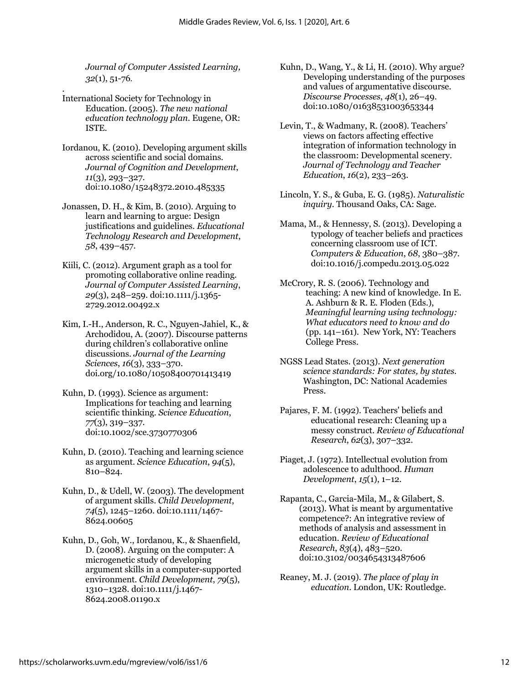*Journal of Computer Assisted Learning, 32*(1), 51-76*.*

- . International Society for Technology in Education. (2005). *The new national education technology plan*. Eugene, OR: ISTE.
- Iordanou, K. (2010). Developing argument skills across scientific and social domains. *Journal of Cognition and Development*, *11*(3), 293–327. doi:10.1080/15248372.2010.485335
- Jonassen, D. H., & Kim, B. (2010). Arguing to learn and learning to argue: Design justifications and guidelines. *Educational Technology Research and Development*, *58*, 439–457.
- Kiili, C. (2012). Argument graph as a tool for promoting collaborative online reading. *Journal of Computer Assisted Learning*, *29*(3), 248–259. doi:10.1111/j.1365- 2729.2012.00492.x
- Kim, I.-H., Anderson, R. C., Nguyen-Jahiel, K., & Archodidou, A. (2007). Discourse patterns during children's collaborative online discussions. *Journal of the Learning Sciences*, *16*(3), 333–370. doi.org/10.1080/10508400701413419
- Kuhn, D. (1993). Science as argument: Implications for teaching and learning scientific thinking. *Science Education*, *77*(3), 319–337. doi:10.1002/sce.3730770306
- Kuhn, D. (2010). Teaching and learning science as argument. *Science Education*, *94*(5), 810–824.
- Kuhn, D., & Udell, W. (2003). The development of argument skills. *Child Development*, *74*(5), 1245–1260. doi:10.1111/1467- 8624.00605
- Kuhn, D., Goh, W., Iordanou, K., & Shaenfield, D. (2008). Arguing on the computer: A microgenetic study of developing argument skills in a computer-supported environment. *Child Development*, *79*(5), 1310–1328. doi:10.1111/j.1467- 8624.2008.01190.x
- Kuhn, D., Wang, Y., & Li, H. (2010). Why argue? Developing understanding of the purposes and values of argumentative discourse. *Discourse Processes*, *48*(1), 26–49. doi:10.1080/01638531003653344
- Levin, T., & Wadmany, R. (2008). Teachers' views on factors affecting effective integration of information technology in the classroom: Developmental scenery. *Journal of Technology and Teacher Education*, *16*(2), 233–263.
- Lincoln, Y. S., & Guba, E. G. (1985). *Naturalistic inquiry*. Thousand Oaks, CA: Sage.
- Mama, M., & Hennessy, S. (2013). Developing a typology of teacher beliefs and practices concerning classroom use of ICT. *Computers & Education*, *68*, 380–387. doi:10.1016/j.compedu.2013.05.022
- McCrory, R. S. (2006). Technology and teaching: A new kind of knowledge. In E. A. Ashburn & R. E. Floden (Eds.), *Meaningful learning using technology: What educators need to know and do* (pp. 141–161). New York, NY: Teachers College Press.
- NGSS Lead States. (2013). *Next generation science standards: For states, by states*. Washington, DC: National Academies Press.
- Pajares, F. M. (1992). Teachers' beliefs and educational research: Cleaning up a messy construct. *Review of Educational Research*, *62*(3), 307–332.
- Piaget, J. (1972). Intellectual evolution from adolescence to adulthood. *Human Development*, *15*(1), 1–12.
- Rapanta, C., Garcia-Mila, M., & Gilabert, S. (2013). What is meant by argumentative competence?: An integrative review of methods of analysis and assessment in education. *Review of Educational Research*, *83*(4), 483–520. doi:10.3102/0034654313487606
- Reaney, M. J. (2019). *The place of play in education*. London, UK: Routledge.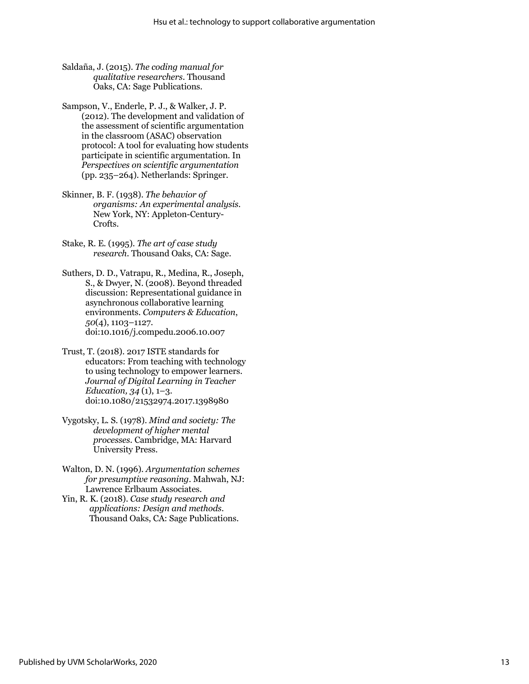- Saldaña, J. (2015). *The coding manual for qualitative researchers*. Thousand Oaks, CA: Sage Publications.
- Sampson, V., Enderle, P. J., & Walker, J. P. (2012). The development and validation of the assessment of scientific argumentation in the classroom (ASAC) observation protocol: A tool for evaluating how students participate in scientific argumentation. In *Perspectives on scientific argumentation* (pp. 235–264). Netherlands: Springer.
- Skinner, B. F. (1938). *The behavior of organisms: An experimental analysis.*  New York, NY: Appleton-Century-Crofts.
- Stake, R. E. (1995). *The art of case study research*. Thousand Oaks, CA: Sage.
- Suthers, D. D., Vatrapu, R., Medina, R., Joseph, S., & Dwyer, N. (2008). Beyond threaded discussion: Representational guidance in asynchronous collaborative learning environments. *Computers & Education*, *50*(4), 1103–1127. doi:10.1016/j.compedu.2006.10.007
- Trust, T. (2018). 2017 ISTE standards for educators: From teaching with technology to using technology to empower learners. *Journal of Digital Learning in Teacher Education, 34* (1), 1–3. doi:10.1080/21532974.2017.1398980
- Vygotsky, L. S. (1978). *Mind and society: The development of higher mental processes.* Cambridge, MA: Harvard University Press.
- Walton, D. N. (1996). *Argumentation schemes for presumptive reasoning*. Mahwah, NJ: Lawrence Erlbaum Associates.
- Yin, R. K. (2018). *Case study research and applications: Design and methods*. Thousand Oaks, CA: Sage Publications.